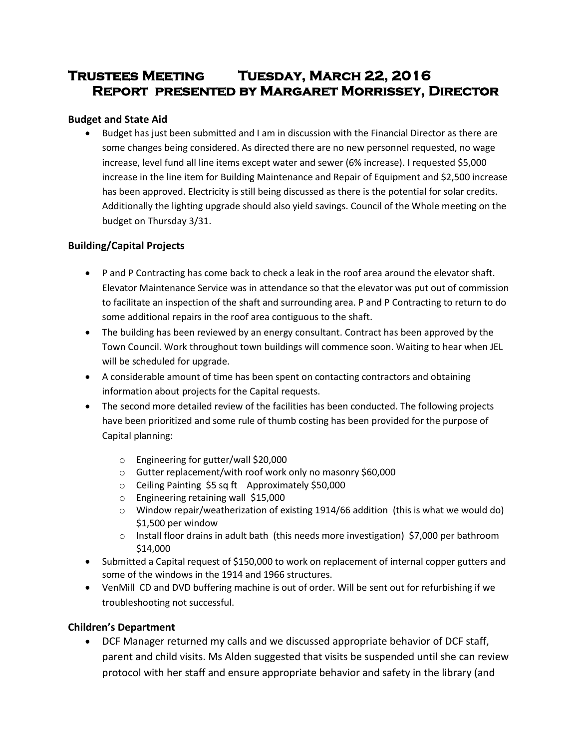# **Trustees Meeting Tuesday, March 22, 2016 Report presented by Margaret Morrissey, Director**

# **Budget and State Aid**

• Budget has just been submitted and I am in discussion with the Financial Director as there are some changes being considered. As directed there are no new personnel requested, no wage increase, level fund all line items except water and sewer (6% increase). I requested \$5,000 increase in the line item for Building Maintenance and Repair of Equipment and \$2,500 increase has been approved. Electricity is still being discussed as there is the potential for solar credits. Additionally the lighting upgrade should also yield savings. Council of the Whole meeting on the budget on Thursday 3/31.

# **Building/Capital Projects**

- P and P Contracting has come back to check a leak in the roof area around the elevator shaft. Elevator Maintenance Service was in attendance so that the elevator was put out of commission to facilitate an inspection of the shaft and surrounding area. P and P Contracting to return to do some additional repairs in the roof area contiguous to the shaft.
- The building has been reviewed by an energy consultant. Contract has been approved by the Town Council. Work throughout town buildings will commence soon. Waiting to hear when JEL will be scheduled for upgrade.
- A considerable amount of time has been spent on contacting contractors and obtaining information about projects for the Capital requests.
- The second more detailed review of the facilities has been conducted. The following projects have been prioritized and some rule of thumb costing has been provided for the purpose of Capital planning:
	- o Engineering for gutter/wall \$20,000
	- o Gutter replacement/with roof work only no masonry \$60,000
	- o Ceiling Painting \$5 sq ft Approximately \$50,000
	- o Engineering retaining wall \$15,000
	- o Window repair/weatherization of existing 1914/66 addition (this is what we would do) \$1,500 per window
	- $\circ$  Install floor drains in adult bath (this needs more investigation) \$7,000 per bathroom \$14,000
- Submitted a Capital request of \$150,000 to work on replacement of internal copper gutters and some of the windows in the 1914 and 1966 structures.
- VenMill CD and DVD buffering machine is out of order. Will be sent out for refurbishing if we troubleshooting not successful.

# **Children's Department**

 DCF Manager returned my calls and we discussed appropriate behavior of DCF staff, parent and child visits. Ms Alden suggested that visits be suspended until she can review protocol with her staff and ensure appropriate behavior and safety in the library (and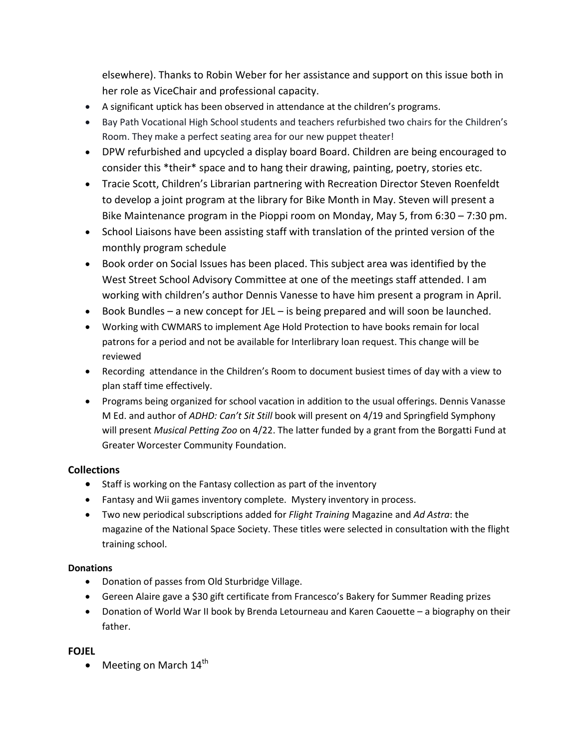elsewhere). Thanks to Robin Weber for her assistance and support on this issue both in her role as ViceChair and professional capacity.

- A significant uptick has been observed in attendance at the children's programs.
- Bay Path Vocational High School students and teachers refurbished two chairs for the Children's Room. They make a perfect seating area for our new puppet theater!
- DPW refurbished and upcycled a display board Board. Children are being encouraged to consider this \*their\* space and to hang their drawing, painting, poetry, stories etc.
- Tracie Scott, Children's Librarian partnering with Recreation Director Steven Roenfeldt to develop a joint program at the library for Bike Month in May. Steven will present a Bike Maintenance program in the Pioppi room on Monday, May 5, from 6:30 – 7:30 pm.
- School Liaisons have been assisting staff with translation of the printed version of the monthly program schedule
- Book order on Social Issues has been placed. This subject area was identified by the West Street School Advisory Committee at one of the meetings staff attended. I am working with children's author Dennis Vanesse to have him present a program in April.
- Book Bundles a new concept for JEL is being prepared and will soon be launched.
- Working with CWMARS to implement Age Hold Protection to have books remain for local patrons for a period and not be available for Interlibrary loan request. This change will be reviewed
- Recording attendance in the Children's Room to document busiest times of day with a view to plan staff time effectively.
- Programs being organized for school vacation in addition to the usual offerings. Dennis Vanasse M Ed. and author of *ADHD: Can't Sit Still* book will present on 4/19 and Springfield Symphony will present *Musical Petting Zoo* on 4/22. The latter funded by a grant from the Borgatti Fund at Greater Worcester Community Foundation.

# **Collections**

- Staff is working on the Fantasy collection as part of the inventory
- Fantasy and Wii games inventory complete. Mystery inventory in process.
- Two new periodical subscriptions added for *Flight Training* Magazine and *Ad Astra*: the magazine of the National Space Society. These titles were selected in consultation with the flight training school.

# **Donations**

- Donation of passes from Old Sturbridge Village.
- Gereen Alaire gave a \$30 gift certificate from Francesco's Bakery for Summer Reading prizes
- Donation of World War II book by Brenda Letourneau and Karen Caouette a biography on their father.

# **FOJEL**

 $\bullet$  Meeting on March 14<sup>th</sup>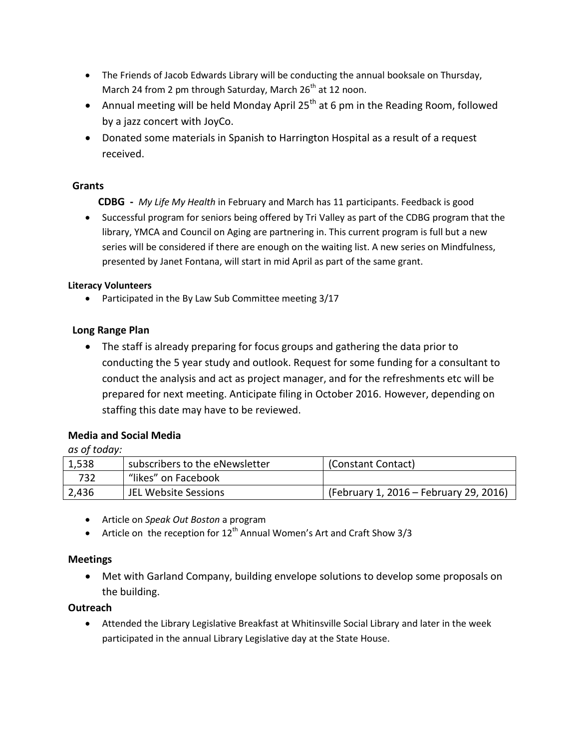- The Friends of Jacob Edwards Library will be conducting the annual booksale on Thursday, March 24 from 2 pm through Saturday, March  $26<sup>th</sup>$  at 12 noon.
- Annual meeting will be held Monday April 25<sup>th</sup> at 6 pm in the Reading Room, followed by a jazz concert with JoyCo.
- Donated some materials in Spanish to Harrington Hospital as a result of a request received.

# **Grants**

- **CDBG** *My Life My Health* in February and March has 11 participants. Feedback is good
- Successful program for seniors being offered by Tri Valley as part of the CDBG program that the library, YMCA and Council on Aging are partnering in. This current program is full but a new series will be considered if there are enough on the waiting list. A new series on Mindfulness, presented by Janet Fontana, will start in mid April as part of the same grant.

# **Literacy Volunteers**

• Participated in the By Law Sub Committee meeting 3/17

# **Long Range Plan**

 The staff is already preparing for focus groups and gathering the data prior to conducting the 5 year study and outlook. Request for some funding for a consultant to conduct the analysis and act as project manager, and for the refreshments etc will be prepared for next meeting. Anticipate filing in October 2016. However, depending on staffing this date may have to be reviewed.

# **Media and Social Media**

*as of today:*

| 1,538 | subscribers to the eNewsletter | (Constant Contact)                     |
|-------|--------------------------------|----------------------------------------|
| 732   | "likes" on Facebook            |                                        |
| 2,436 | JEL Website Sessions           | (February 1, 2016 – February 29, 2016) |

- Article on *Speak Out Boston* a program
- Article on the reception for  $12^{th}$  Annual Women's Art and Craft Show 3/3

# **Meetings**

 Met with Garland Company, building envelope solutions to develop some proposals on the building.

# **Outreach**

 Attended the Library Legislative Breakfast at Whitinsville Social Library and later in the week participated in the annual Library Legislative day at the State House.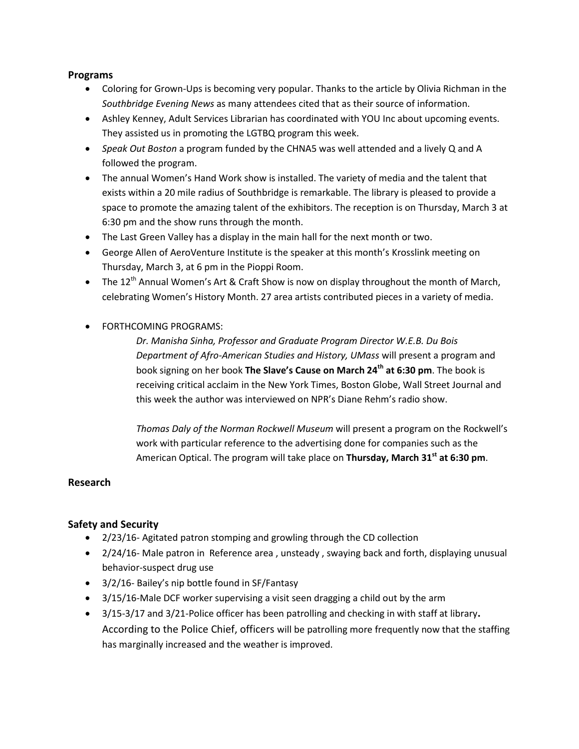#### **Programs**

- Coloring for Grown-Ups is becoming very popular. Thanks to the article by Olivia Richman in the *Southbridge Evening News* as many attendees cited that as their source of information.
- Ashley Kenney, Adult Services Librarian has coordinated with YOU Inc about upcoming events. They assisted us in promoting the LGTBQ program this week.
- *Speak Out Boston* a program funded by the CHNA5 was well attended and a lively Q and A followed the program.
- The annual Women's Hand Work show is installed. The variety of media and the talent that exists within a 20 mile radius of Southbridge is remarkable. The library is pleased to provide a space to promote the amazing talent of the exhibitors. The reception is on Thursday, March 3 at 6:30 pm and the show runs through the month.
- The Last Green Valley has a display in the main hall for the next month or two.
- George Allen of AeroVenture Institute is the speaker at this month's Krosslink meeting on Thursday, March 3, at 6 pm in the Pioppi Room.
- The  $12^{th}$  Annual Women's Art & Craft Show is now on display throughout the month of March, celebrating Women's History Month. 27 area artists contributed pieces in a variety of media.
- FORTHCOMING PROGRAMS:

*Dr. Manisha Sinha, Professor and Graduate Program Director W.E.B. Du Bois Department of Afro-American Studies and History, UMass* will present a program and book signing on her book **The Slave's Cause on March 24th at 6:30 pm**. The book is receiving critical acclaim in the New York Times, Boston Globe, Wall Street Journal and this week the author was interviewed on NPR's Diane Rehm's radio show.

*Thomas Daly of the Norman Rockwell Museum* will present a program on the Rockwell's work with particular reference to the advertising done for companies such as the American Optical. The program will take place on **Thursday, March 31st at 6:30 pm**.

# **Research**

# **Safety and Security**

- 2/23/16- Agitated patron stomping and growling through the CD collection
- 2/24/16- Male patron in Reference area, unsteady, swaying back and forth, displaying unusual behavior-suspect drug use
- 3/2/16- Bailey's nip bottle found in SF/Fantasy
- 3/15/16-Male DCF worker supervising a visit seen dragging a child out by the arm
- 3/15-3/17 and 3/21-Police officer has been patrolling and checking in with staff at library**.**  According to the Police Chief, officers will be patrolling more frequently now that the staffing has marginally increased and the weather is improved.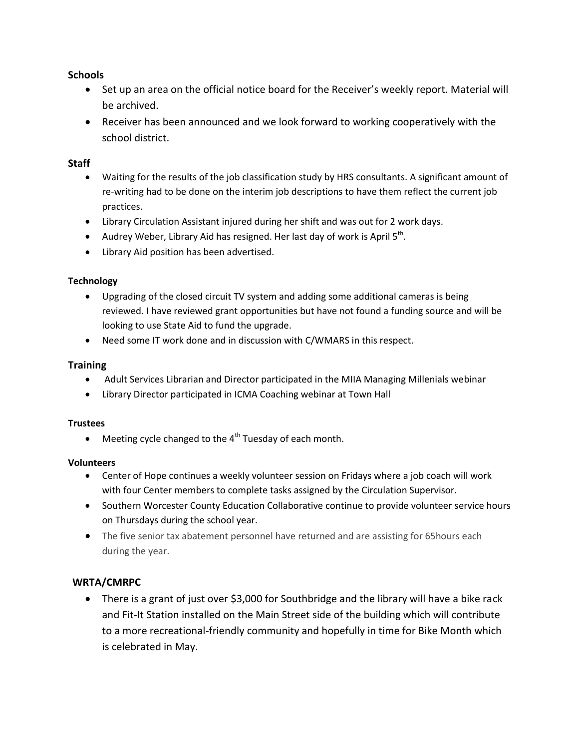# **Schools**

- Set up an area on the official notice board for the Receiver's weekly report. Material will be archived.
- Receiver has been announced and we look forward to working cooperatively with the school district.

# **Staff**

- Waiting for the results of the job classification study by HRS consultants. A significant amount of re-writing had to be done on the interim job descriptions to have them reflect the current job practices.
- Library Circulation Assistant injured during her shift and was out for 2 work days.
- Audrey Weber, Library Aid has resigned. Her last day of work is April  $5<sup>th</sup>$ .
- Library Aid position has been advertised.

#### **Technology**

- Upgrading of the closed circuit TV system and adding some additional cameras is being reviewed. I have reviewed grant opportunities but have not found a funding source and will be looking to use State Aid to fund the upgrade.
- Need some IT work done and in discussion with C/WMARS in this respect.

#### **Training**

- Adult Services Librarian and Director participated in the MIIA Managing Millenials webinar
- Library Director participated in ICMA Coaching webinar at Town Hall

#### **Trustees**

 $\bullet$  Meeting cycle changed to the 4<sup>th</sup> Tuesday of each month.

#### **Volunteers**

- Center of Hope continues a weekly volunteer session on Fridays where a job coach will work with four Center members to complete tasks assigned by the Circulation Supervisor.
- Southern Worcester County Education Collaborative continue to provide volunteer service hours on Thursdays during the school year.
- The five senior tax abatement personnel have returned and are assisting for 65 hours each during the year.

# **WRTA/CMRPC**

• There is a grant of just over \$3,000 for Southbridge and the library will have a bike rack and Fit-It Station installed on the Main Street side of the building which will contribute to a more recreational-friendly community and hopefully in time for Bike Month which is celebrated in May.